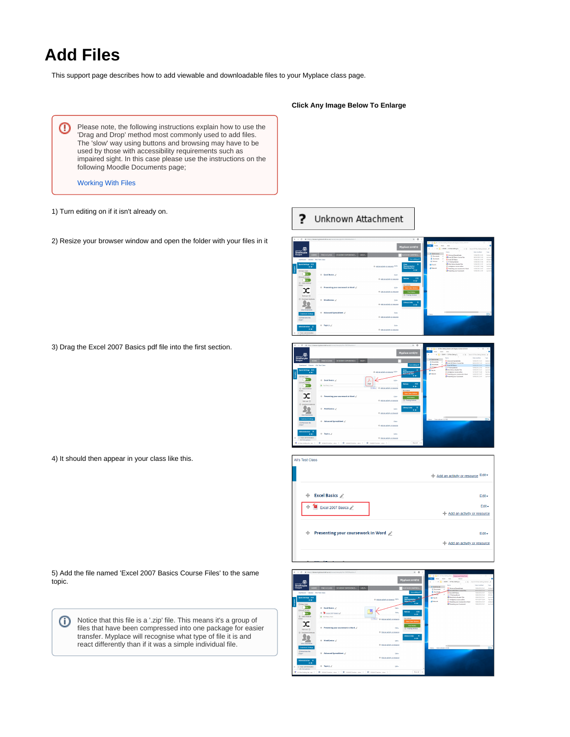# **Add Files**

This support page describes how to add viewable and downloadable files to your Myplace class page.

Please note, the following instructions explain how to use the ⊕ 'Drag and Drop' method most commonly used to add files. The 'slow' way using buttons and browsing may have to be used by those with accessibility requirements such as impaired sight. In this case please use the instructions on the following Moodle Documents page;

[Working With Files](https://docs.moodle.org/34/en/Working_with_files#Add_a_resource_or_activity)

- 1) Turn editing on if it isn't already on.
- 2) Resize your browser window and open the folder with your files in it

3) Drag the Excel 2007 Basics pdf file into the first section.

4) It should then appear in your class like this.

5) Add the file named 'Excel 2007 Basics Course Files' to the same topic.

Notice that this file is a '.zip' file. This means it's a group of Ф files that have been compressed into one package for easier transfer. Myplace will recognise what type of file it is and react differently than if it was a simple individual file.

### **Click Any Image Below To Enlarge**

#### ? Unknown Attachment





| Ali's Test Class                        |                                         |
|-----------------------------------------|-----------------------------------------|
|                                         | + Add an activity or resource Edit -    |
| <b>Excel Basics</b><br>⊕                | Edit -<br>Edit -                        |
| ⊕ <b>M</b> Excel 2007 Basics <u>/</u>   | Add an activity or resource             |
| Presenting your coursework in Word<br>⊕ | Edit -<br>+ Add an activity or resource |
|                                         |                                         |